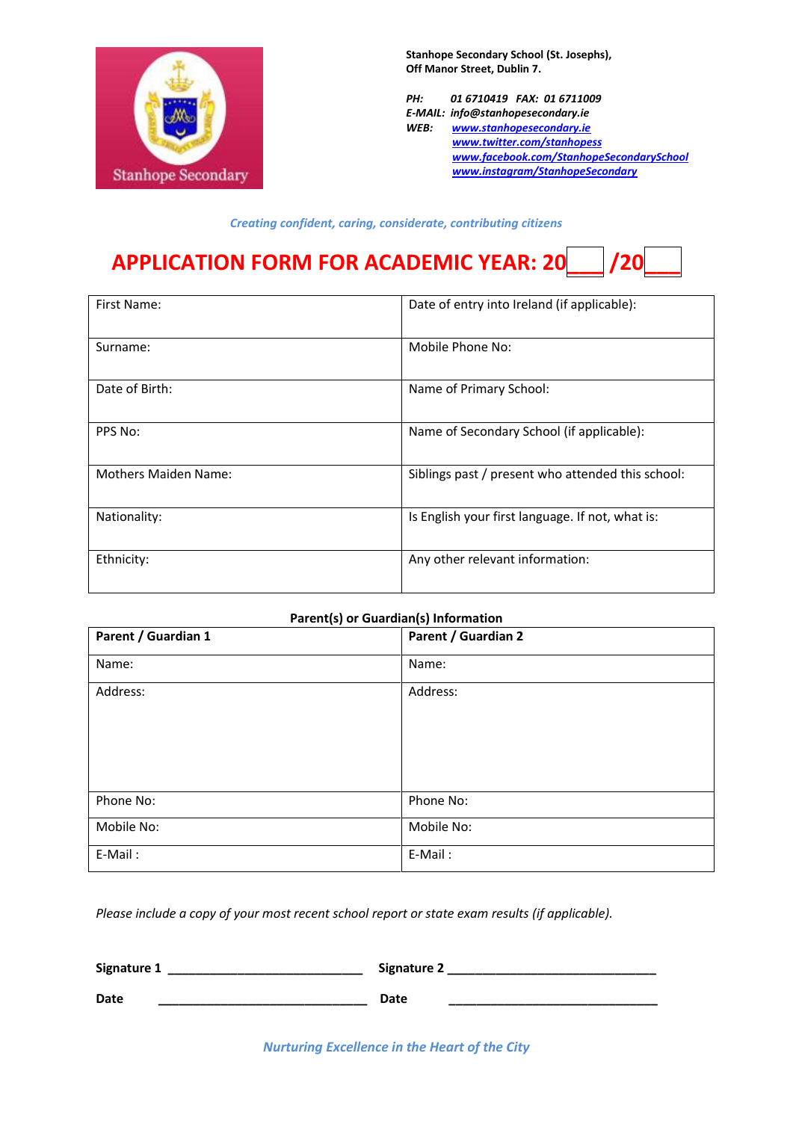

**Stanhope Secondary School (St. Josephs), Off Manor Street, Dublin 7.**

*PH: 01 6710419 FAX: 01 6711009 E-MAIL: info@stanhopesecondary.ie WEB: [www.stanhopesecondary.ie](http://www.stanhopesecondary.ie/) [www.twitter.com/stanhopess](http://www.twitter.com/stanhopes) [www.facebook.com/StanhopeS](http://www.facebook.com/Stanhope)econdarySchool www.instagram/StanhopeSecondary*

*Creating confident, caring, considerate, contributing citizens*

## **APPLICATION FORM FOR ACADEMIC YEAR: 20\_\_\_ /20\_\_\_**

| First Name:                 | Date of entry into Ireland (if applicable):       |  |
|-----------------------------|---------------------------------------------------|--|
| Surname:                    | Mobile Phone No:                                  |  |
| Date of Birth:              | Name of Primary School:                           |  |
| PPS No:                     | Name of Secondary School (if applicable):         |  |
| <b>Mothers Maiden Name:</b> | Siblings past / present who attended this school: |  |
| Nationality:                | Is English your first language. If not, what is:  |  |
| Ethnicity:                  | Any other relevant information:                   |  |

|                     | Parent(s) or Guardian(s) Information |  |
|---------------------|--------------------------------------|--|
| Parent / Guardian 1 | Parent / Guardian 2                  |  |
| Name:               | Name:                                |  |
| Address:            | Address:                             |  |
| Phone No:           | Phone No:                            |  |
| Mobile No:          | Mobile No:                           |  |
| E-Mail:             | E-Mail:                              |  |

*Please include a copy of your most recent school report or state exam results (if applicable).*

| <b>Signature 1</b> | Signature 2 |
|--------------------|-------------|
| Date               | Date        |
|                    |             |

*Nurturing Excellence in the Heart of the City*